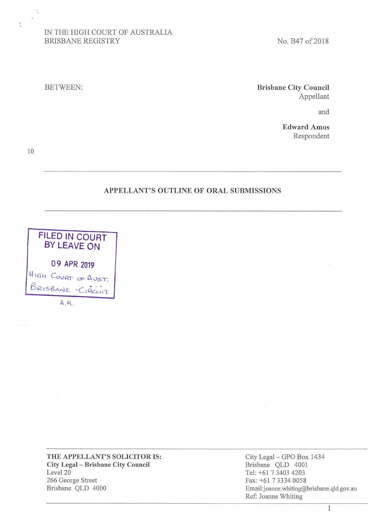# IN THE HIGH COURT OF AUSTRALIA BRISBANE REGISTRY

No. B47 of 2018

### BETWEEN:

**Brisbane City Council**  Appellant

and

**Edward Amos**  Respondent

10

 $\frac{1}{4}$ 

### **APPELLANT'S OUTLINE OF ORAL SUBMISSIONS**



**THE APPELLANT'S SOLICITOR IS: City Legal** - **Brisbane City Council**  Level 20 266 George Street Brisbane QLD 4000

City Legal- GPO Box 1434 Brisbane QLD 4001 Tel: +61 7 3403 4203 Fax: +61 7 3334 0058 Email:joanne.whiting@brisbane.qld.gov.au Ref: Joanne Whiting

1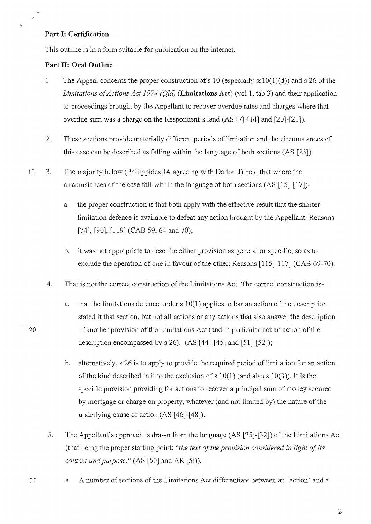# **Part I: Certification**

 $\sim$  .

 $\lambda$ 

This outline is in a form suitable for publication on the internet.

#### **Part II: Oral Outline**

- 1. The Appeal concerns the proper construction of s 10 (especially  $\text{ss10}(1)(d)$ ) and s 26 of the *Limitations of Actions Act 1974 (Qld)* **(Limitations Act)** (vol 1, tab 3) and their application to proceedings brought by the Appellant to recover overdue rates and charges where that overdue sum was a charge on the Respondent's land (AS [7]-[14] and [20]-[21]).
- 2. These sections provide materially different periods of limitation and the circumstances of this case can be described as falling within the language of both sections (AS [23]).
- 10 3. The majority below (Philippides JA agreeing with Dalton J) held that where the circumstances of the case fall within the language of both sections (AS [15]-[17])
	- a. the proper construction is that both apply with the effective result that the shorter limitation defence is available to defeat any action brought by the Appellant: Reasons [74], [90], [119] (CAB 59, 64 and 70);
	- b. it was not appropriate to describe either provision as general or specific, so as to exclude the operation of one in favour of the other: Reasons [115]-117] (CAB 69-70).
	- 4. That is not the correct construction of the Limitations Act. The correct construction is-
- a. that the limitations defence under s 10(1) applies to bar an action of the description stated it that section, but not all actions or any actions that also answer the description 20 of another provision of the Limitations Act ( and in particular not an action of the description encompassed by  $s$  26). (AS [44]-[45] and [51]-[52]);
	- b. alternatively, s 26 is to apply to provide the required period of limitation for an action of the kind described in it to the exclusion of s  $10(1)$  (and also s  $10(3)$ ). It is the specific provision providing for actions to recover a principal sum of money secured by mortgage or charge on property, whatever (and not limited by) the nature of the underlying cause of action (AS [46]-[48]).
	- 5. The Appellant's approach is drawn from the language (AS [25]-[32]) of the Limitations Act (that being the proper starting point: *"the text of the provision considered in light of its context and purpose."* (AS [50] and AR [5])).
- 
- 3 0 a. A number of sections of the Limitations Act differentiate between an 'action' and a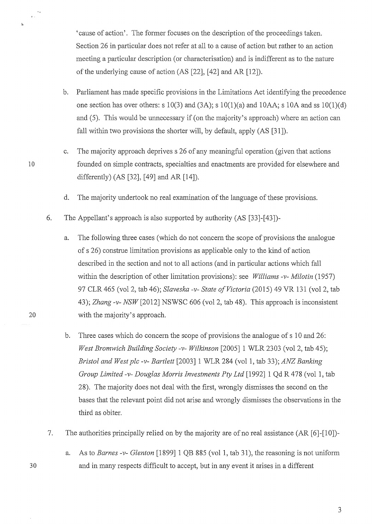'cause of action'. The former focuses on the description of the proceedings taken. Section 26 in particular does not refer at all to a cause of action but rather to an action meeting a particular description ( or characterisation) and is indifferent as to the nature of the underlying cause of action (AS [22], [42] and AR [12]).

- b. Parliament has made specific provisions in the Limitations Act identifying the precedence one section has over others: s  $10(3)$  and  $(3A)$ ; s  $10(1)(a)$  and  $10AA$ ; s  $10A$  and ss  $10(1)(d)$ and (5). This would be unnecessary if (on the majority's approach) where an action can fall within two provisions the shorter will, by default, apply (AS [31]).
- c. The majority approach deprives s 26 of any meaningful operation (given that actions 10 founded on simple contracts, specialties and enactments are provided for elsewhere and differently) (AS [32], [49] and AR [14]).
	- d. The majority undertook no real examination of the language of these provisions.
	- 6. The Appellant's approach is also supported by authority (AS [33]-[43])-
- a. The following three cases (which do not concern the scope of provisions the analogue of s 26) construe limitation provisions as applicable only to the kind of action described in the section and not to all actions (and in particular actions which fall within the description of other limitation provisions): see *Williams -v- Milotin* (1957) 97 CLR 465 (vol 2, tab 46); *Slaveska -v- State of Victoria* (2015) 49 VR 131 (vol 2, tab 43); *Zhang-v- NSW* [2012] NSWSC 606 (vol 2, tab 48). This approach is inconsistent 20 with the majority's approach.
	- b. Three cases which do concern the scope of provisions the analogue of s 10 and 26: *West Bromwich Building Society-v- Wilkinson* [2005] 1 WLR 2303 (vol 2, tab 45); *Bristol and West plc -v- Bartlett* [2003] 1 WLR 284 (vol 1, tab 33); *ANZ Banking Group Limited -v- Douglas Morris Investments Pty Ltd* [1992] 1 Qd R 478 (vol 1, tab 28). The majority does not deal with the first, wrongly dismisses the second on the bases that the relevant point did not arise and wrongly dismisses the observations in the third as obiter.
	- 7. The authorities principally relied on by the majority are of no real assistance (AR [6]-[10])-
- a. As to *Barnes -v- Glenton* [1899] 1 QB 885 (vol 1, tab 31), the reasoning is not uniform 30 and in many respects difficult to accept, but in any event it arises in a different

 $\frac{1}{3}$  .

 $\Delta$